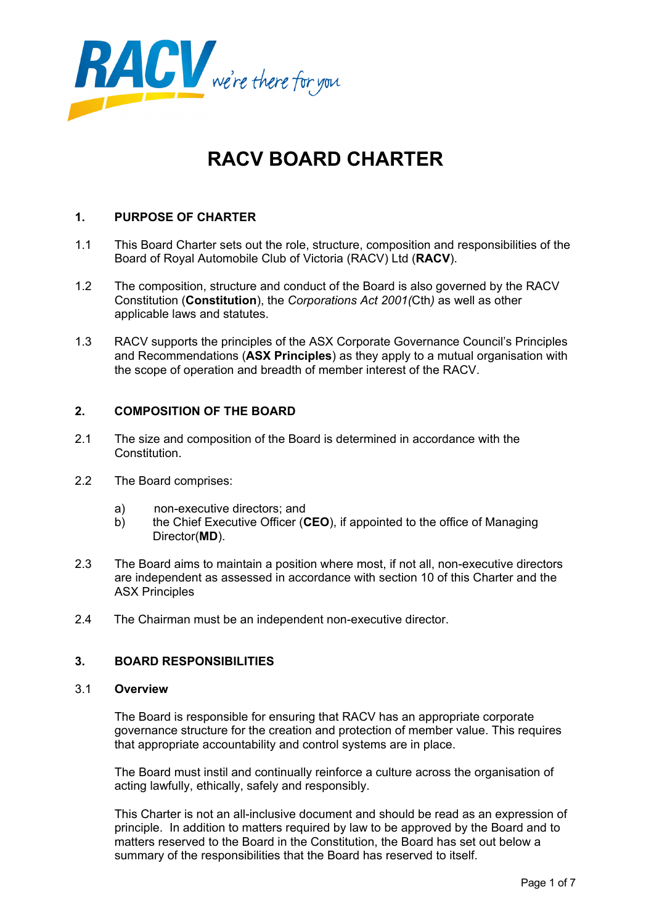

# **RACV BOARD CHARTER**

# **1. PURPOSE OF CHARTER**

- 1.1 This Board Charter sets out the role, structure, composition and responsibilities of the Board of Royal Automobile Club of Victoria (RACV) Ltd (**RACV**).
- 1.2 The composition, structure and conduct of the Board is also governed by the RACV Constitution (**Constitution**), the *Corporations Act 2001(*Cth*)* as well as other applicable laws and statutes.
- 1.3 RACV supports the principles of the ASX Corporate Governance Council's Principles and Recommendations (**ASX Principles**) as they apply to a mutual organisation with the scope of operation and breadth of member interest of the RACV.

# **2. COMPOSITION OF THE BOARD**

- 2.1 The size and composition of the Board is determined in accordance with the Constitution.
- 2.2 The Board comprises:
	- a) non-executive directors; and
	- b) the Chief Executive Officer (**CEO**), if appointed to the office of Managing Director(**MD**).
- 2.3 The Board aims to maintain a position where most, if not all, non-executive directors are independent as assessed in accordance with section 10 of this Charter and the ASX Principles
- 2.4 The Chairman must be an independent non-executive director.

# **3. BOARD RESPONSIBILITIES**

#### 3.1 **Overview**

 The Board is responsible for ensuring that RACV has an appropriate corporate governance structure for the creation and protection of member value. This requires that appropriate accountability and control systems are in place.

The Board must instil and continually reinforce a culture across the organisation of acting lawfully, ethically, safely and responsibly.

This Charter is not an all-inclusive document and should be read as an expression of principle. In addition to matters required by law to be approved by the Board and to matters reserved to the Board in the Constitution, the Board has set out below a summary of the responsibilities that the Board has reserved to itself.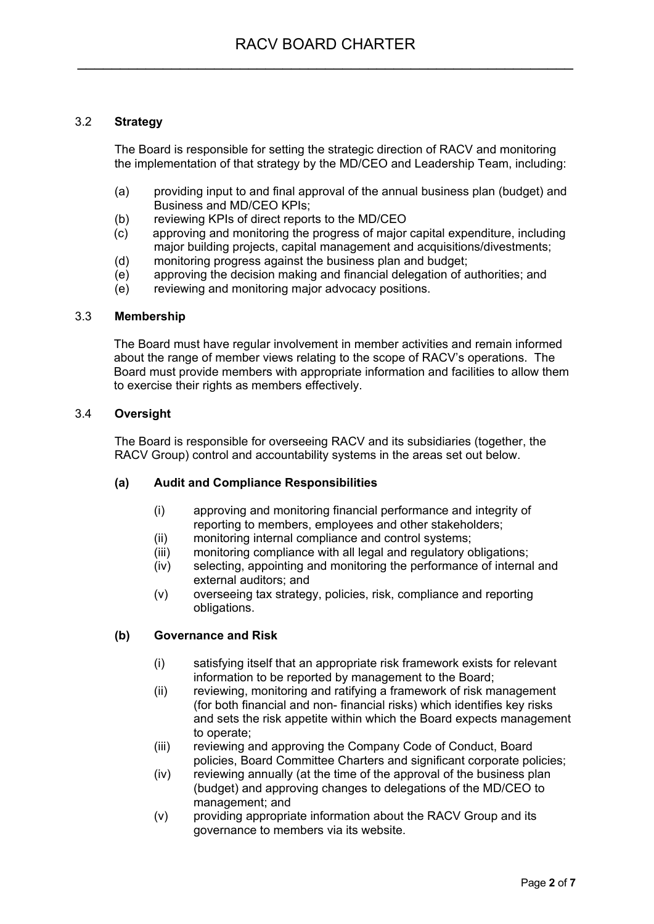# 3.2 **Strategy**

 The Board is responsible for setting the strategic direction of RACV and monitoring the implementation of that strategy by the MD/CEO and Leadership Team, including:

- (a) providing input to and final approval of the annual business plan (budget) and Business and MD/CEO KPIs;
- (b) reviewing KPIs of direct reports to the MD/CEO
- (c) approving and monitoring the progress of major capital expenditure, including major building projects, capital management and acquisitions/divestments;
- (d) monitoring progress against the business plan and budget;
- (e) approving the decision making and financial delegation of authorities; and
- (e) reviewing and monitoring major advocacy positions.

## 3.3 **Membership**

 The Board must have regular involvement in member activities and remain informed about the range of member views relating to the scope of RACV's operations. The Board must provide members with appropriate information and facilities to allow them to exercise their rights as members effectively.

## 3.4 **Oversight**

 The Board is responsible for overseeing RACV and its subsidiaries (together, the RACV Group) control and accountability systems in the areas set out below.

#### **(a) Audit and Compliance Responsibilities**

- (i) approving and monitoring financial performance and integrity of reporting to members, employees and other stakeholders;
- (ii) monitoring internal compliance and control systems;
- (iii) monitoring compliance with all legal and regulatory obligations;
- (iv) selecting, appointing and monitoring the performance of internal and external auditors; and
- (v) overseeing tax strategy, policies, risk, compliance and reporting obligations.

# **(b) Governance and Risk**

- (i) satisfying itself that an appropriate risk framework exists for relevant information to be reported by management to the Board;
- (ii) reviewing, monitoring and ratifying a framework of risk management (for both financial and non- financial risks) which identifies key risks and sets the risk appetite within which the Board expects management to operate;
- (iii) reviewing and approving the Company Code of Conduct, Board policies, Board Committee Charters and significant corporate policies;
- (iv) reviewing annually (at the time of the approval of the business plan (budget) and approving changes to delegations of the MD/CEO to management; and
- (v) providing appropriate information about the RACV Group and its governance to members via its website.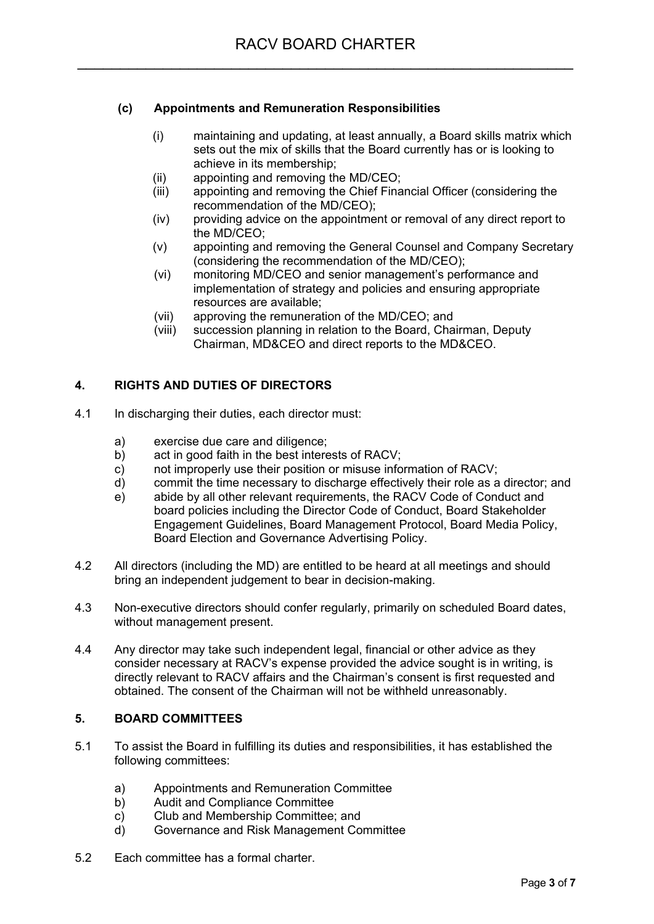# **(c) Appointments and Remuneration Responsibilities**

- (i) maintaining and updating, at least annually, a Board skills matrix which sets out the mix of skills that the Board currently has or is looking to achieve in its membership;
- (ii) appointing and removing the MD/CEO;
- (iii) appointing and removing the Chief Financial Officer (considering the recommendation of the MD/CEO);
- (iv) providing advice on the appointment or removal of any direct report to the MD/CEO;
- (v) appointing and removing the General Counsel and Company Secretary (considering the recommendation of the MD/CEO);
- (vi) monitoring MD/CEO and senior management's performance and implementation of strategy and policies and ensuring appropriate resources are available;
- (vii) approving the remuneration of the MD/CEO; and
- (viii) succession planning in relation to the Board, Chairman, Deputy Chairman, MD&CEO and direct reports to the MD&CEO.

# **4. RIGHTS AND DUTIES OF DIRECTORS**

- 4.1 In discharging their duties, each director must:
	- a) exercise due care and diligence;
	- b) act in good faith in the best interests of RACV;
	- c) not improperly use their position or misuse information of RACV;
	- d) commit the time necessary to discharge effectively their role as a director; and
	- e) abide by all other relevant requirements, the RACV Code of Conduct and board policies including the Director Code of Conduct, Board Stakeholder Engagement Guidelines, Board Management Protocol, Board Media Policy, Board Election and Governance Advertising Policy.
- 4.2 All directors (including the MD) are entitled to be heard at all meetings and should bring an independent judgement to bear in decision-making.
- 4.3 Non-executive directors should confer regularly, primarily on scheduled Board dates, without management present.
- 4.4 Any director may take such independent legal, financial or other advice as they consider necessary at RACV's expense provided the advice sought is in writing, is directly relevant to RACV affairs and the Chairman's consent is first requested and obtained. The consent of the Chairman will not be withheld unreasonably.

# **5. BOARD COMMITTEES**

- 5.1 To assist the Board in fulfilling its duties and responsibilities, it has established the following committees:
	- a) Appointments and Remuneration Committee
	- b) Audit and Compliance Committee
	- c) Club and Membership Committee; and
	- d) Governance and Risk Management Committee
- 5.2 Each committee has a formal charter.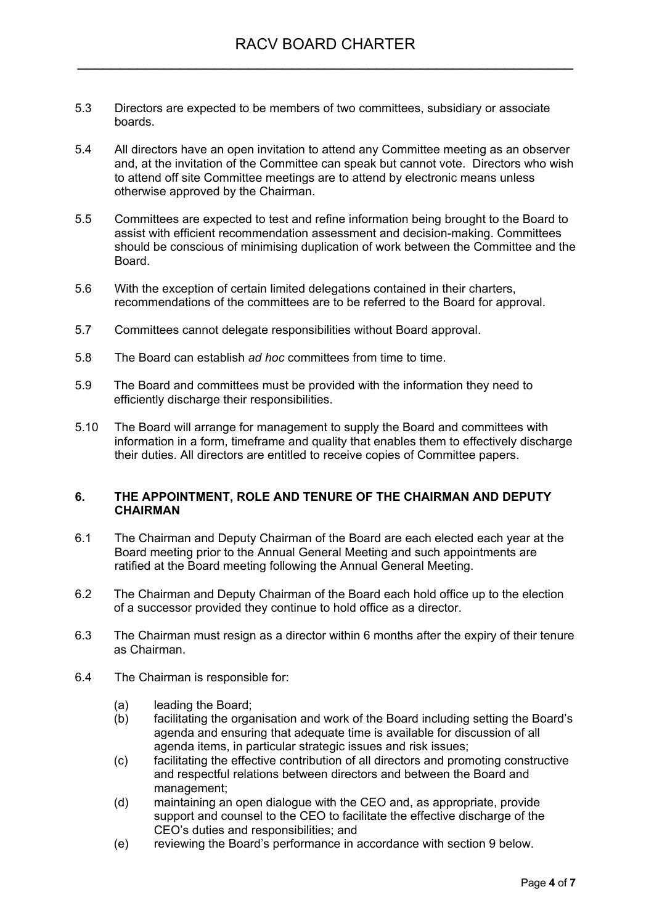- 5.3 Directors are expected to be members of two committees, subsidiary or associate boards.
- 5.4 All directors have an open invitation to attend any Committee meeting as an observer and, at the invitation of the Committee can speak but cannot vote. Directors who wish to attend off site Committee meetings are to attend by electronic means unless otherwise approved by the Chairman.
- 5.5 Committees are expected to test and refine information being brought to the Board to assist with efficient recommendation assessment and decision-making. Committees should be conscious of minimising duplication of work between the Committee and the Board.
- 5.6 With the exception of certain limited delegations contained in their charters, recommendations of the committees are to be referred to the Board for approval.
- 5.7 Committees cannot delegate responsibilities without Board approval.
- 5.8 The Board can establish *ad hoc* committees from time to time.
- 5.9 The Board and committees must be provided with the information they need to efficiently discharge their responsibilities.
- 5.10 The Board will arrange for management to supply the Board and committees with information in a form, timeframe and quality that enables them to effectively discharge their duties. All directors are entitled to receive copies of Committee papers.

## **6. THE APPOINTMENT, ROLE AND TENURE OF THE CHAIRMAN AND DEPUTY CHAIRMAN**

- 6.1 The Chairman and Deputy Chairman of the Board are each elected each year at the Board meeting prior to the Annual General Meeting and such appointments are ratified at the Board meeting following the Annual General Meeting.
- 6.2 The Chairman and Deputy Chairman of the Board each hold office up to the election of a successor provided they continue to hold office as a director.
- 6.3 The Chairman must resign as a director within 6 months after the expiry of their tenure as Chairman.
- 6.4 The Chairman is responsible for:
	- (a) leading the Board;
	- (b) facilitating the organisation and work of the Board including setting the Board's agenda and ensuring that adequate time is available for discussion of all agenda items, in particular strategic issues and risk issues;
	- (c) facilitating the effective contribution of all directors and promoting constructive and respectful relations between directors and between the Board and management;
	- (d) maintaining an open dialogue with the CEO and, as appropriate, provide support and counsel to the CEO to facilitate the effective discharge of the CEO's duties and responsibilities; and
	- (e) reviewing the Board's performance in accordance with section 9 below.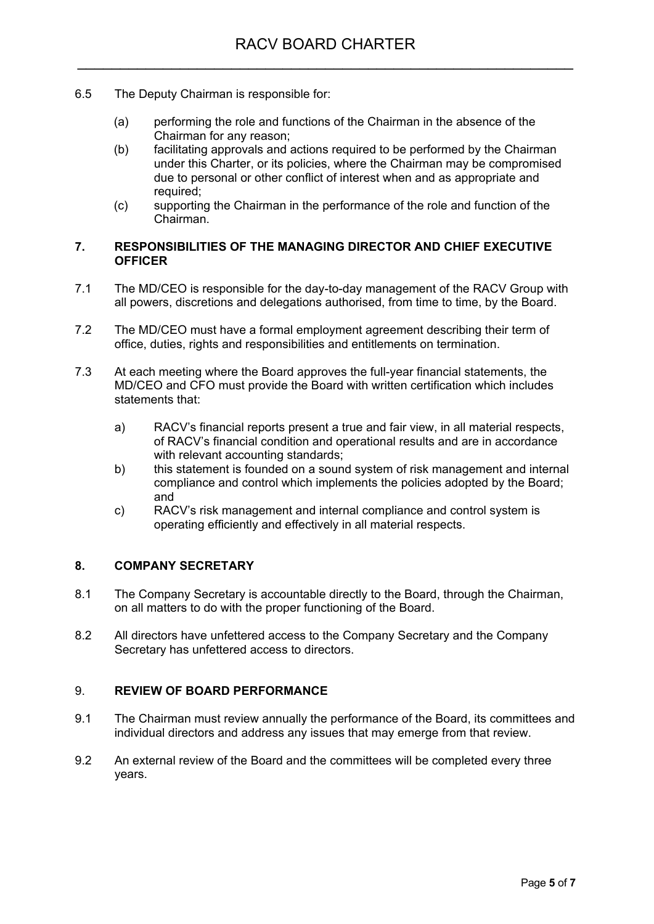- 6.5 The Deputy Chairman is responsible for:
	- (a) performing the role and functions of the Chairman in the absence of the Chairman for any reason;
	- (b) facilitating approvals and actions required to be performed by the Chairman under this Charter, or its policies, where the Chairman may be compromised due to personal or other conflict of interest when and as appropriate and required;
	- (c) supporting the Chairman in the performance of the role and function of the Chairman.

## **7. RESPONSIBILITIES OF THE MANAGING DIRECTOR AND CHIEF EXECUTIVE OFFICER**

- 7.1 The MD/CEO is responsible for the day-to-day management of the RACV Group with all powers, discretions and delegations authorised, from time to time, by the Board.
- 7.2 The MD/CEO must have a formal employment agreement describing their term of office, duties, rights and responsibilities and entitlements on termination.
- 7.3 At each meeting where the Board approves the full-year financial statements, the MD/CEO and CFO must provide the Board with written certification which includes statements that:
	- a) RACV's financial reports present a true and fair view, in all material respects, of RACV's financial condition and operational results and are in accordance with relevant accounting standards;
	- b) this statement is founded on a sound system of risk management and internal compliance and control which implements the policies adopted by the Board; and
	- c) RACV's risk management and internal compliance and control system is operating efficiently and effectively in all material respects.

# **8. COMPANY SECRETARY**

- 8.1 The Company Secretary is accountable directly to the Board, through the Chairman, on all matters to do with the proper functioning of the Board.
- 8.2 All directors have unfettered access to the Company Secretary and the Company Secretary has unfettered access to directors.

#### 9. **REVIEW OF BOARD PERFORMANCE**

- 9.1 The Chairman must review annually the performance of the Board, its committees and individual directors and address any issues that may emerge from that review.
- 9.2 An external review of the Board and the committees will be completed every three years.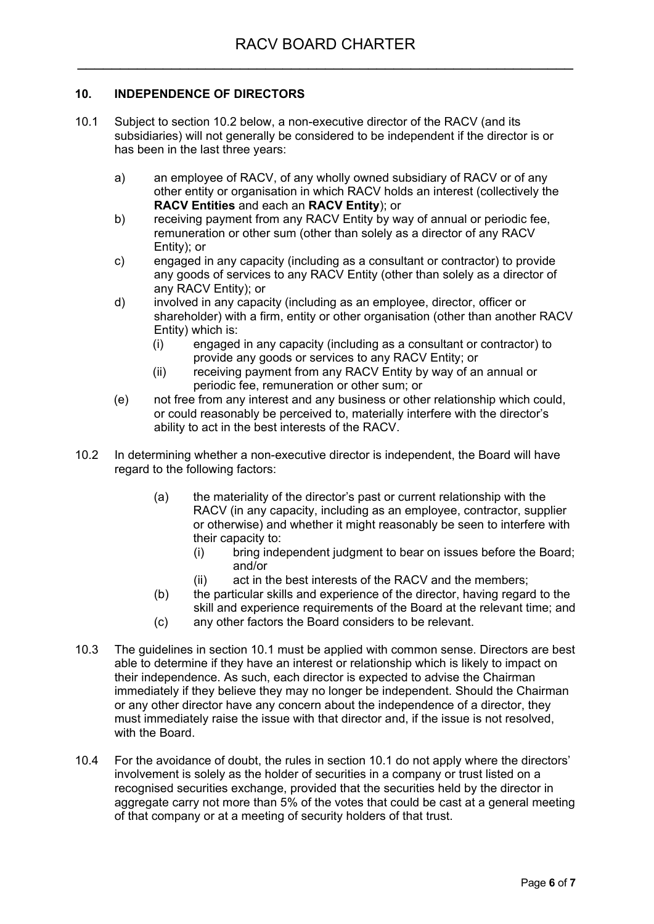# **10. INDEPENDENCE OF DIRECTORS**

- 10.1 Subject to section 10.2 below, a non-executive director of the RACV (and its subsidiaries) will not generally be considered to be independent if the director is or has been in the last three years:
	- a) an employee of RACV, of any wholly owned subsidiary of RACV or of any other entity or organisation in which RACV holds an interest (collectively the **RACV Entities** and each an **RACV Entity**); or
	- b) receiving payment from any RACV Entity by way of annual or periodic fee, remuneration or other sum (other than solely as a director of any RACV Entity); or
	- c) engaged in any capacity (including as a consultant or contractor) to provide any goods of services to any RACV Entity (other than solely as a director of any RACV Entity); or
	- d) involved in any capacity (including as an employee, director, officer or shareholder) with a firm, entity or other organisation (other than another RACV Entity) which is:
		- (i) engaged in any capacity (including as a consultant or contractor) to provide any goods or services to any RACV Entity; or
		- (ii) receiving payment from any RACV Entity by way of an annual or periodic fee, remuneration or other sum; or
	- (e) not free from any interest and any business or other relationship which could, or could reasonably be perceived to, materially interfere with the director's ability to act in the best interests of the RACV.
- 10.2 In determining whether a non-executive director is independent, the Board will have regard to the following factors:
	- (a) the materiality of the director's past or current relationship with the RACV (in any capacity, including as an employee, contractor, supplier or otherwise) and whether it might reasonably be seen to interfere with their capacity to:
		- (i) bring independent judgment to bear on issues before the Board; and/or
		- (ii) act in the best interests of the RACV and the members;
	- (b) the particular skills and experience of the director, having regard to the skill and experience requirements of the Board at the relevant time; and
	- (c) any other factors the Board considers to be relevant.
- 10.3 The guidelines in section 10.1 must be applied with common sense. Directors are best able to determine if they have an interest or relationship which is likely to impact on their independence. As such, each director is expected to advise the Chairman immediately if they believe they may no longer be independent. Should the Chairman or any other director have any concern about the independence of a director, they must immediately raise the issue with that director and, if the issue is not resolved, with the Board.
- 10.4 For the avoidance of doubt, the rules in section 10.1 do not apply where the directors' involvement is solely as the holder of securities in a company or trust listed on a recognised securities exchange, provided that the securities held by the director in aggregate carry not more than 5% of the votes that could be cast at a general meeting of that company or at a meeting of security holders of that trust.